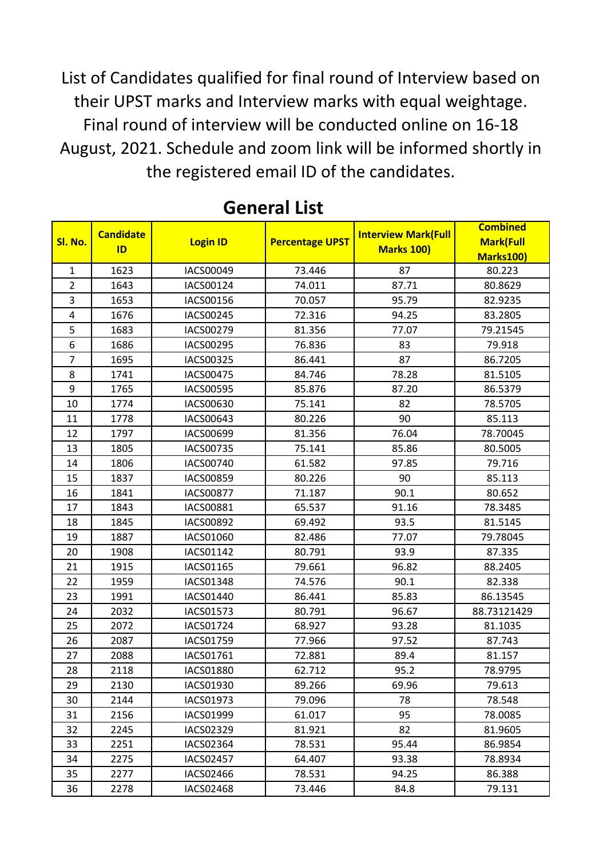List of Candidates qualified for final round of Interview based on their UPST marks and Interview marks with equal weightage. Final round of interview will be conducted online on 16-18 August, 2021. Schedule and zoom link will be informed shortly in the registered email ID of the candidates.

| Sl. No.                 | <b>Candidate</b><br>ID | <b>Login ID</b>  | <b>Percentage UPST</b> | <b>Interview Mark(Full</b><br><b>Marks 100)</b> | <b>Combined</b>  |
|-------------------------|------------------------|------------------|------------------------|-------------------------------------------------|------------------|
|                         |                        |                  |                        |                                                 | <b>Mark(Full</b> |
|                         |                        |                  |                        |                                                 | Marks100)        |
| $\mathbf{1}$            | 1623                   | IACS00049        | 73.446                 | 87                                              | 80.223           |
| $\overline{2}$          | 1643                   | IACS00124        | 74.011                 | 87.71                                           | 80.8629          |
| 3                       | 1653                   | IACS00156        | 70.057                 | 95.79                                           | 82.9235          |
| $\overline{\mathbf{4}}$ | 1676                   | IACS00245        | 72.316                 | 94.25                                           | 83.2805          |
| 5                       | 1683                   | IACS00279        | 81.356                 | 77.07                                           | 79.21545         |
| 6                       | 1686                   | IACS00295        | 76.836                 | 83                                              | 79.918           |
| $\overline{7}$          | 1695                   | IACS00325        | 86.441                 | 87                                              | 86.7205          |
| 8                       | 1741                   | IACS00475        | 84.746                 | 78.28                                           | 81.5105          |
| 9                       | 1765                   | IACS00595        | 85.876                 | 87.20                                           | 86.5379          |
| 10                      | 1774                   | IACS00630        | 75.141                 | 82                                              | 78.5705          |
| 11                      | 1778                   | IACS00643        | 80.226                 | 90                                              | 85.113           |
| 12                      | 1797                   | IACS00699        | 81.356                 | 76.04                                           | 78.70045         |
| 13                      | 1805                   | IACS00735        | 75.141                 | 85.86                                           | 80.5005          |
| 14                      | 1806                   | IACS00740        | 61.582                 | 97.85                                           | 79.716           |
| 15                      | 1837                   | IACS00859        | 80.226                 | 90                                              | 85.113           |
| 16                      | 1841                   | <b>IACS00877</b> | 71.187                 | 90.1                                            | 80.652           |
| 17                      | 1843                   | IACS00881        | 65.537                 | 91.16                                           | 78.3485          |
| 18                      | 1845                   | IACS00892        | 69.492                 | 93.5                                            | 81.5145          |
| 19                      | 1887                   | IACS01060        | 82.486                 | 77.07                                           | 79.78045         |
| 20                      | 1908                   | IACS01142        | 80.791                 | 93.9                                            | 87.335           |
| 21                      | 1915                   | IACS01165        | 79.661                 | 96.82                                           | 88.2405          |
| 22                      | 1959                   | IACS01348        | 74.576                 | 90.1                                            | 82.338           |
| 23                      | 1991                   | IACS01440        | 86.441                 | 85.83                                           | 86.13545         |
| 24                      | 2032                   | IACS01573        | 80.791                 | 96.67                                           | 88.73121429      |
| 25                      | 2072                   | IACS01724        | 68.927                 | 93.28                                           | 81.1035          |
| 26                      | 2087                   | IACS01759        | 77.966                 | 97.52                                           | 87.743           |
| 27                      | 2088                   | IACS01761        | 72.881                 | 89.4                                            | 81.157           |
| 28                      | 2118                   | IACS01880        | 62.712                 | 95.2                                            | 78.9795          |
| 29                      | 2130                   | IACS01930        | 89.266                 | 69.96                                           | 79.613           |
| 30                      | 2144                   | IACS01973        | 79.096                 | 78                                              | 78.548           |
| 31                      | 2156                   | IACS01999        | 61.017                 | 95                                              | 78.0085          |
| 32                      | 2245                   | IACS02329        | 81.921                 | 82                                              | 81.9605          |
| 33                      | 2251                   | IACS02364        | 78.531                 | 95.44                                           | 86.9854          |
| 34                      | 2275                   | <b>IACS02457</b> | 64.407                 | 93.38                                           | 78.8934          |
| 35                      | 2277                   | IACS02466        | 78.531                 | 94.25                                           | 86.388           |
| 36                      | 2278                   | <b>IACS02468</b> | 73.446                 | 84.8                                            | 79.131           |

## **General List**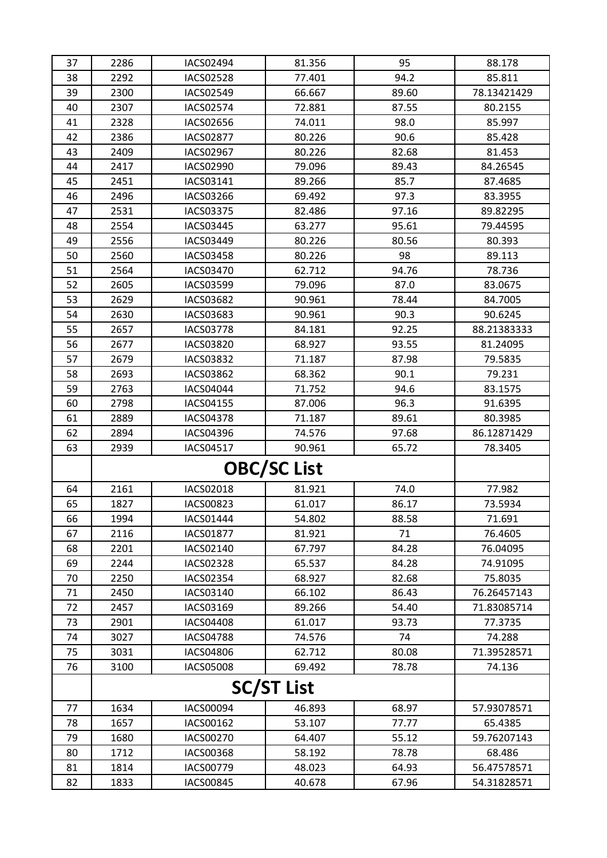| 37                | 2286 | <b>IACS02494</b> | 81.356             | 95    | 88.178      |
|-------------------|------|------------------|--------------------|-------|-------------|
| 38                | 2292 | <b>IACS02528</b> | 77.401             | 94.2  | 85.811      |
| 39                | 2300 | IACS02549        | 66.667             | 89.60 | 78.13421429 |
| 40                | 2307 | <b>IACS02574</b> | 72.881             | 87.55 | 80.2155     |
| 41                | 2328 | <b>IACS02656</b> | 74.011             | 98.0  | 85.997      |
| 42                | 2386 | <b>IACS02877</b> | 80.226             | 90.6  | 85.428      |
| 43                | 2409 | IACS02967        | 80.226             | 82.68 | 81.453      |
| 44                | 2417 | <b>IACS02990</b> | 79.096             | 89.43 | 84.26545    |
| 45                | 2451 | IACS03141        | 89.266             | 85.7  | 87.4685     |
| 46                | 2496 | IACS03266        | 69.492             | 97.3  | 83.3955     |
| 47                | 2531 | <b>IACS03375</b> | 82.486             | 97.16 | 89.82295    |
| 48                | 2554 | IACS03445        | 63.277             | 95.61 | 79.44595    |
| 49                | 2556 | IACS03449        | 80.226             | 80.56 | 80.393      |
| 50                | 2560 | <b>IACS03458</b> | 80.226             | 98    | 89.113      |
| 51                | 2564 | IACS03470        | 62.712             | 94.76 | 78.736      |
| 52                | 2605 | <b>IACS03599</b> | 79.096             | 87.0  | 83.0675     |
| 53                | 2629 | <b>IACS03682</b> | 90.961             | 78.44 | 84.7005     |
| 54                | 2630 | IACS03683        | 90.961             | 90.3  | 90.6245     |
| 55                | 2657 | <b>IACS03778</b> | 84.181             | 92.25 | 88.21383333 |
| 56                | 2677 | <b>IACS03820</b> | 68.927             | 93.55 | 81.24095    |
| 57                | 2679 | IACS03832        | 71.187             | 87.98 | 79.5835     |
| 58                | 2693 | IACS03862        | 68.362             | 90.1  | 79.231      |
| 59                | 2763 | IACS04044        | 71.752             | 94.6  | 83.1575     |
| 60                | 2798 | IACS04155        | 87.006             | 96.3  | 91.6395     |
| 61                | 2889 | <b>IACS04378</b> | 71.187             | 89.61 | 80.3985     |
| 62                | 2894 | <b>IACS04396</b> | 74.576             | 97.68 | 86.12871429 |
| 63                | 2939 | IACS04517        | 90.961             | 65.72 | 78.3405     |
|                   |      |                  | <b>OBC/SC List</b> |       |             |
| 64                | 2161 | IACS02018        | 81.921             | 74.0  | 77.982      |
| 65                | 1827 | <b>IACS00823</b> | 61.017             | 86.17 | 73.5934     |
| 66                | 1994 | IACS01444        | 54.802             | 88.58 | 71.691      |
| 67                | 2116 | IACS01877        | 81.921             | 71    | 76.4605     |
| 68                | 2201 | IACS02140        | 67.797             | 84.28 | 76.04095    |
| 69                | 2244 | IACS02328        | 65.537             | 84.28 | 74.91095    |
| 70                | 2250 | IACS02354        | 68.927             | 82.68 | 75.8035     |
| 71                | 2450 | IACS03140        | 66.102             | 86.43 | 76.26457143 |
| 72                | 2457 | IACS03169        | 89.266             | 54.40 | 71.83085714 |
| 73                | 2901 | <b>IACS04408</b> | 61.017             | 93.73 | 77.3735     |
| 74                | 3027 | <b>IACS04788</b> | 74.576             | 74    | 74.288      |
| 75                | 3031 | <b>IACS04806</b> | 62.712             | 80.08 | 71.39528571 |
| 76                | 3100 | <b>IACS05008</b> | 69.492             | 78.78 | 74.136      |
| <b>SC/ST List</b> |      |                  |                    |       |             |
| 77                | 1634 | IACS00094        | 46.893             | 68.97 | 57.93078571 |
| 78                | 1657 | IACS00162        | 53.107             | 77.77 | 65.4385     |
| 79                | 1680 | IACS00270        | 64.407             | 55.12 | 59.76207143 |
| 80                | 1712 | <b>IACS00368</b> | 58.192             | 78.78 | 68.486      |
| 81                | 1814 | IACS00779        | 48.023             | 64.93 | 56.47578571 |
| 82                | 1833 | <b>IACS00845</b> | 40.678             | 67.96 | 54.31828571 |